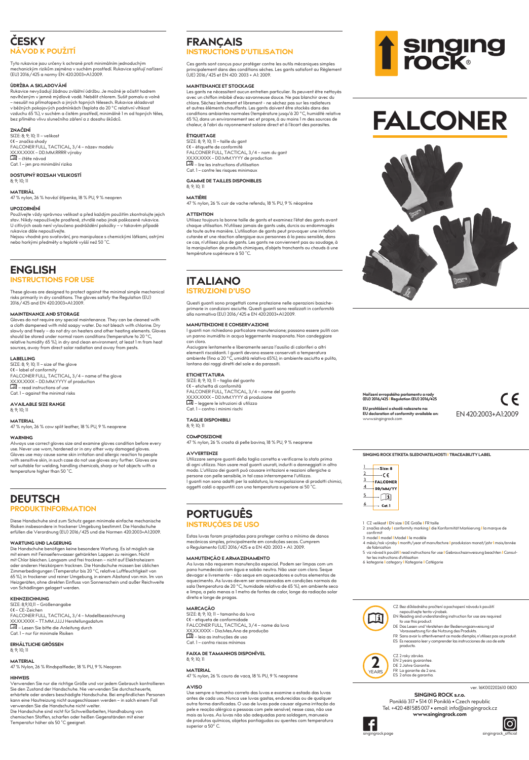## **ČESKY NÁVOD K POUŽITÍ**

Tyto rukavice jsou určeny k ochraně proti minimálním jednoduchým mechanickým rizikům zejména v suchém prostředí. Rukavice splňují nařízení (EU) 2016/425 a normy EN 420:2003+A1:2009.

UDRZBA A SKLADVVANI<br>Rkkovice nevyžadují žádnou zvláštní údržbu. Je možné je očistit hadrem<br>navhřemým v jemné mýdlové vodě. Nebělit chlorem. Sušit pomalu a volně<br>navhřemým v jemné mýdlové vodě. Nebělit chlorem. Sušit pomalu

**ZNAČENÍ**<br>SIZE: 8: 9: 10: 11 – velikost SIZE: 8; 9; 10; 11 – velikost<br>CE – značka shody<br>FALCONER FULL, TACTICAL, 3/4 – název modelu<br>XX.XX.XXXX – DD.MM.RRRR výroby<br>**LII** – čtěte návod Cat. 1 – jen pro minimální rizika

**DOSTUPNÝ ROZSAH VELIKOSTÍ** 8; 9; 10; 11

**MATERIÁL**

47 % nylon, 26 % hovězí štípenka, 18 % PU, 9 % neopren

**UPOZORNENI**<br>Používejte vždy správnou velikost a před každým použitím zkontrolujte jejich<br>stav. Nikdy nepoužívejte prodřené, ztvrdlé nebo jinak poškozené rukavice.<br>U citlivých osob není vyloučeno podráždění pokožky – v tak rukavice dále nepoužívejte.

Nejsou vhodné pro svařování, pro manipulace s chemickými látkami, ostrými nebo horkými předměty o teplotě vyšší než 50 ˚C.

## **ENGLISH INSTRUCTIONS FOR USE**

These gloves are designed to protect against the minimal simple mechanical risks primarily in dry conditions. The gloves satisfy the Regulation (EU) 2016/425 and EN 420:2003+A1:2009.

## **MAINTENANCE AND STORAGE**

Gloves do not require any special maintenance. They can be cleaned with<br>a cloth dampened with mild soapy water. Do not bleach with chlorine. Dry<br>slowly and freely – do not dry on heaters and other heating elements. Gloves<br> relative humidity 65 %), in dry and clean environment, at least 1 m from heat sources, away from direct solar radiation and away from pests.

**LABELLING** SIZE: 8; 9; 10; 11 – size of the glove � – label of conformity FALCONER FULL, TACTICAL, 3/4 – name of the glove XX.XX.XXX – DD.MM.YYYY of production<br>**[13]** – read instructions of use

Cat. 1 – against the minimal risks

**AVAILABLE SIZE RANGE** 8; 9; 10; 11

**MATERIAL** 47 % nylon, 26 % cow split leather, 18 % PU, 9 % neoprene

## **WARNING**

Always use correct gloves size and examine gloves condition before every use. Never use worn, hardened or in any other way damaged gloves.<br>Gloves use may cause some skin irritation and allergic reaction to people<br>with sensitive skin, in such case do not use gloves any further. Gloves are<br>with s

## **DEUTSCH PRODUKTINFORMATION**

Diese Handschuhe sind zum Schutz gegen minimale einfache mechanische<br>Risiken insbesondere in trockener Umgebung bestimmt. Die Handschuhe<br>erfüllen die Verordnung (EU) 2016/425 und die Normen 420:2003+A1:2009.

WARTUNG UND LAGERUNG<br>Die Handschuhe benötigen keine besondere Wartung. Es ist möglich sie<br>Die Handschuhe benötigen keine besondere Wartung. Es ist möglich sie<br>mit Chlor bleichen. Langsam und frei trocknen – nicht auf Elekt 65 %), in trockener und reiner Umgebung, in einem Abstand von min. 1m von Heizgeräten, ohne direkten Einfluss von Sonnenschein und außer Reichweite von Schädlingen gelagert werden.

**KENNZEICHNUNG<br>SIZE: 8,9,0,11 – Größenangabe<br>FALCONER FULL, TACTICAL, 3/4 – Modellbezeichnung<br>PALCONER FULL, TACTICAL, 3/4 – Modellbezeichnung<br>XXXXXXXX – TT.MM.JJJJ Herstellungsdatum<br>III – Lesen Sie bitte die Anleiting dur** 

## **ERHÄLTLICHE GRÖSSEN** 8; 9; 10; 11

**MATERIAL**

47 % Nylon, 26 % Rindspaltleder, 18 % PU, 9 % Neopren

**HINWEIS**<br>Verwenden Sie nur die richtige Größe und vor jedem Gebrauch kontrollieren<br>Sie den Zustand der Handschuhe. Nie verwenden Sie durchscheuerte,<br>erhärtete oder anders beschädigte Handschuhe. Bei empfindlichen Personen

kann eine Hautreizung nicht ausgeschlossen werden – in solch einem Fall<br>verwenden Sie die Handschuhe nicht weiter.<br>Die Handschuhe sind nicht für Schweißarbeiten, Handhabung von<br>chemischen Stoffen, scharfen oder heißen Gege

## **FRANÇAIS INSTRUCTIONS D'UTILISATION**

Ces gants sont conçus pour protéger contre les outils mécaniques simples alement dans des conditions sèches. Les gants satisfont au Règlement (UE) 2016/425 et EN 420: 2003 + A1: 2009.

**MAINTENANCE ET STOCKAGE<br>Les gants ne nécessitent aucun entretien particulier. Ils peuvent être nettoyés** Les gants ne necessitent aucun entrefien particuler. Ils peuvent étre netroyes<br>avec un chiffon imbibé d'eau savonneuse douce. Ne pas blanchir avec du<br>chicros. Séchez lentement et librement - ne séchez pas sur les radiateur

**ÉTIQUETAGE<br>SIZE: 8; 9; 10; 11 – taille du gant<br>KE – étiquette de conformité<br>FALCONER FULL, TACTICAL, 3/4 – nom du gant<br>XXXXXXX – DD.MM.YYYY de production<br><b>EII** – lire les instructions d'utilisation Cat. 1 – contre les risques minimaux

### **GAMME DE TAILLES DISPONIBLES** 8; 9; 10; 11

**MATIÈRE**

47 % nylon, 26 % cuir de vache refendu, 18 % PU, 9 % néoprène

**ATTENTION**<br>Utilisez toujours la bonne taille de gants et examinez l'état des gants avant<br>chaque utilisation. N'utilisez jamais de gants usés, durcis ou endommagés<br>de toute autre manière. L'utilisation de gants peut provoq

## **ITALIANO ISTRUZIONI D'USO**

## Questi guanti sono progettati come protezione nelle operazioni basiche-<br>primarie in condizioni asciutte. Questi guanti sono realizzati in conformità<br>alla normativa (EU) 2016/425 e EN 420:2003+A1:2009.

## **MANUTENZIONE E CONSERVAZIONE**

I guanti non richiedono particolare manutenzione; possono essere puliti con un panno inumidito in acqua leggermente insaponata. Non candeggiare con cloro.<br>Asciugare l

entamente e liberamente senza l'ausilio di caloriferi o altri elementi riscaldanti. I guanti devono essere conservati a temperatura ambiente (fino a 20 °C, umidità relativa 65%), in ambiente asciutto e pulito, lontano dai raggi diretti del sole e da parassiti.

## **ETICHETTATURA**

SIZE: 8; 9; 10; 11 – taglia del guanto � – etichetta di conformità FALCONER FULL, TACTICAL, 3/4 – nome del guanto XX.XX.XXXX – DD.MM.YYYY di produzione<br>| - leggere le istruzioni di utilizzo<br>Cat. 1 – contro i minimi rischi

## **TAGLIE DISPONIBILI** 8; 9; 10; 11

**COMPOSIZIONE**

## 47 % nylon, 26 % crosta di pelle bovina, 18 % PU, 9 % neoprene

**AVVERTENZE** Ufflizzare sempre guanti della taglia correfta e verificarne lo stoto prima<br>di ogni vilizzo. Non usare mail guanti usurati, induriti o danneggiati in altro<br>modo. L'utilizzo dei guanti può causare irritazioni e reazioni all

## **PORTUGUÊS INSTRUÇÕES DE USO**

Estas luvas foram projetadas para proteger contra o mínimo de danos<br>mecânicos simples, principalmente em condições secas. Cumprem<br>o Regulamento (UE) 2016/425 e a EN 420: 2003 + A1: 2009.

## **MANUTENÇÃO E ARMAZENAMENTO**

As luvas não requerem manutenção especial. Podem ser limpas com um<br>pano humedecido com água e sabão neutro. Não usar com cloro. Seque<br>devagar e livremente - não seque em aquecedores e outros elementos de aquecimento. As luvas devem ser armazenadas em condições normais da sala (temperatura de 20 °C, humidade relativa de 65 %), em ambiente seco e limpo, a pelo menos a 1 metro de fontes de calor, longe da radiação solar direta e longe de pragas.

### **MARCAÇÃO**

SIZE: 8; 9; 10; 11 – tamanho da luva � – etiqueta de conformidade FALCONER FULL, TACTICAL, 3/4 – nome da luva XX.XX.XXXX – Dia.Mes.Ano de produção – leia as instruções de uso Cat. 1 – contra riscos mínimos

## **FAIXA DE TAMANHOS DISPONÍVEL**

## 8; 9; 10; 11

**MATERIAL** 47 % nylon, 26 % couro de vaca, 18 % PU, 9 % neoprene

**AVISO**<br>Use sempre o tamanho correto das Iuvas e examine o estado das Iuvas Use sempre o tamanho correto das luvas e examine o estado das luvas<br>antes de cada uso. Nunca use luvas gastas, endurecidas ou de qualquer<br>outra forma danificadas. O uso de luvas pode causar alguma irritação da<br>pele e reaçã



# **FALCONER**



## **Nařízení evropského parlamentu a rady (EU) 2016/425 I Regulation (EU) 2016/425**

**EU prohlášení o shodě naleznete na: EU declaration of conformity available on:** www.singingrock.com

 $\epsilon$ EN 420:2003+A1:2009

**SINGING ROCK ETIKETA SLEDOVATELNOSTI I TRACEABILITY LABEL**



1 CZ velikost **I** EN size **I** DE Größe **I** FR taille

- 2 značka shody **I** conformity marking **I** die Konformität Markierung **I** la marque de
- 
- confirmit<br>3 model | model | Model | le modéle<br>4 měsíc/rok výroby | month/year of manufacture | produkzion monat/jahr | mois/année<br>de fabrication<br>| ter les instructions for model | stars instructions for use | Gebrauchsanwe
	-
	- - CZ Bez důkladného pročtení a pochopení návodu k použití nepoužívejte tento výrobek. EN Reading and understanding instruction for use are required to use this product. DE Das Lesen und Verstehen der Bedienungsanweisung ist Ħ
			- - Voraussetzung für die Nutzung des Produkts. FR Sans avoir lu attentivement ce mode d'emploi, n'utilisez pas ce produit. ES Es necesario leer y comprender las instrucciones de uso de este producto.



## **SINGING ROCK s.r.o.** ver. 16K002202610 0820

Poniklá 317 • 514 01 Poniklá • Czech republic Tel. +420481585007 • email: info@singingrock.cz

**www.singingrock.com**